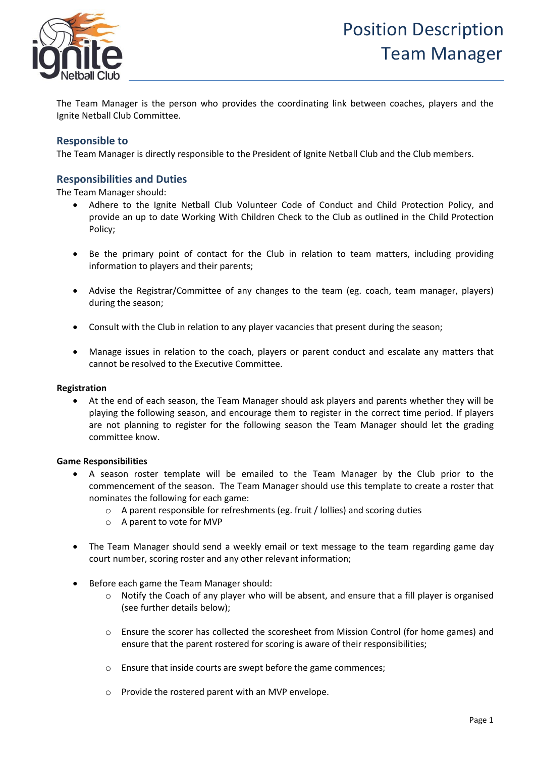

The Team Manager is the person who provides the coordinating link between coaches, players and the Ignite Netball Club Committee.

# **Responsible to**

The Team Manager is directly responsible to the President of Ignite Netball Club and the Club members.

## **Responsibilities and Duties**

The Team Manager should:

- Adhere to the Ignite Netball Club Volunteer Code of Conduct and Child Protection Policy, and provide an up to date Working With Children Check to the Club as outlined in the Child Protection Policy;
- Be the primary point of contact for the Club in relation to team matters, including providing information to players and their parents;
- Advise the Registrar/Committee of any changes to the team (eg. coach, team manager, players) during the season;
- Consult with the Club in relation to any player vacancies that present during the season;
- Manage issues in relation to the coach, players or parent conduct and escalate any matters that cannot be resolved to the Executive Committee.

#### **Registration**

• At the end of each season, the Team Manager should ask players and parents whether they will be playing the following season, and encourage them to register in the correct time period. If players are not planning to register for the following season the Team Manager should let the grading committee know.

#### **Game Responsibilities**

- A season roster template will be emailed to the Team Manager by the Club prior to the commencement of the season. The Team Manager should use this template to create a roster that nominates the following for each game:
	- o A parent responsible for refreshments (eg. fruit / lollies) and scoring duties
	- o A parent to vote for MVP
- The Team Manager should send a weekly email or text message to the team regarding game day court number, scoring roster and any other relevant information;
- Before each game the Team Manager should:
	- $\circ$  Notify the Coach of any player who will be absent, and ensure that a fill player is organised (see further details below);
	- o Ensure the scorer has collected the scoresheet from Mission Control (for home games) and ensure that the parent rostered for scoring is aware of their responsibilities;
	- o Ensure that inside courts are swept before the game commences;
	- o Provide the rostered parent with an MVP envelope.